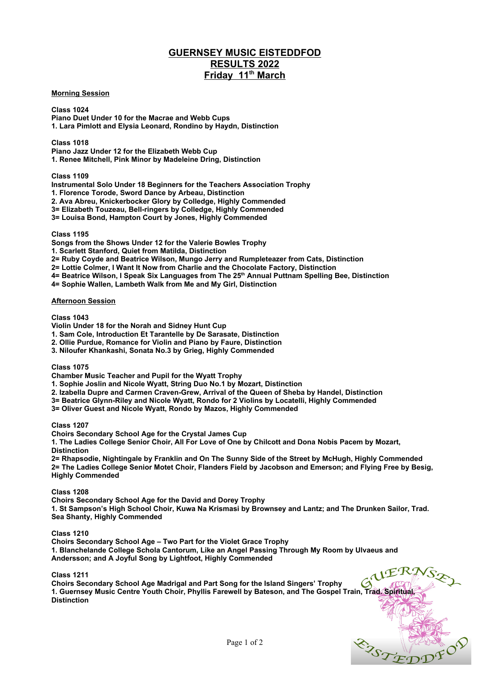# **GUERNSEY MUSIC EISTEDDFOD RESULTS 2022 Friday 11th March**

## **Morning Session**

**Class 1024 Piano Duet Under 10 for the Macrae and Webb Cups 1. Lara Pimlott and Elysia Leonard, Rondino by Haydn, Distinction**

**Class 1018**

**Piano Jazz Under 12 for the Elizabeth Webb Cup**

**1. Renee Mitchell, Pink Minor by Madeleine Dring, Distinction**

**Class 1109**

**Instrumental Solo Under 18 Beginners for the Teachers Association Trophy**

**1. Florence Torode, Sword Dance by Arbeau, Distinction**

**2. Ava Abreu, Knickerbocker Glory by Colledge, Highly Commended**

**3= Elizabeth Touzeau, Bell-ringers by Colledge, Highly Commended**

**3= Louisa Bond, Hampton Court by Jones, Highly Commended**

**Class 1195**

**Songs from the Shows Under 12 for the Valerie Bowles Trophy**

**1. Scarlett Stanford, Quiet from Matilda, Distinction**

**2= Ruby Coyde and Beatrice Wilson, Mungo Jerry and Rumpleteazer from Cats, Distinction** 

**2= Lottie Colmer, I Want It Now from Charlie and the Chocolate Factory, Distinction** 

4= Beatrice Wilson, I Speak Six Languages from The 25<sup>th</sup> Annual Puttnam Spelling Bee, Distinction

**4= Sophie Wallen, Lambeth Walk from Me and My Girl, Distinction** 

#### **Afternoon Session**

**Class 1043**

**Violin Under 18 for the Norah and Sidney Hunt Cup**

**1. Sam Cole, Introduction Et Tarantelle by De Sarasate, Distinction**

**2. Ollie Purdue, Romance for Violin and Piano by Faure, Distinction**

**3. Niloufer Khankashi, Sonata No.3 by Grieg, Highly Commended**

**Class 1075**

**Chamber Music Teacher and Pupil for the Wyatt Trophy**

**1. Sophie Joslin and Nicole Wyatt, String Duo No.1 by Mozart, Distinction**

**2. Izabella Dupre and Carmen Craven-Grew, Arrival of the Queen of Sheba by Handel, Distinction**

**3= Beatrice Glynn-Riley and Nicole Wyatt, Rondo for 2 Violins by Locatelli, Highly Commended**

**3= Oliver Guest and Nicole Wyatt, Rondo by Mazos, Highly Commended**

**Class 1207**

**Choirs Secondary School Age for the Crystal James Cup**

**1. The Ladies College Senior Choir, All For Love of One by Chilcott and Dona Nobis Pacem by Mozart, Distinction**

**2= Rhapsodie, Nightingale by Franklin and On The Sunny Side of the Street by McHugh, Highly Commended 2= The Ladies College Senior Motet Choir, Flanders Field by Jacobson and Emerson; and Flying Free by Besig, Highly Commended**

### **Class 1208**

**Choirs Secondary School Age for the David and Dorey Trophy**

**1. St Sampson's High School Choir, Kuwa Na Krismasi by Brownsey and Lantz; and The Drunken Sailor, Trad. Sea Shanty, Highly Commended**

### **Class 1210**

**Choirs Secondary School Age – Two Part for the Violet Grace Trophy 1. Blanchelande College Schola Cantorum, Like an Angel Passing Through My Room by Ulvaeus and Andersson; and A Joyful Song by Lightfoot, Highly Commended**

### **Class 1211**

**Choirs Secondary School Age Madrigal and Part Song for the Island Singers' Trophy 1. Guernsey Music Centre Youth Choir, Phyllis Farewell by Bateson, and The Gospel Train, Trad. Spiritual, Distinction** 

ERTET